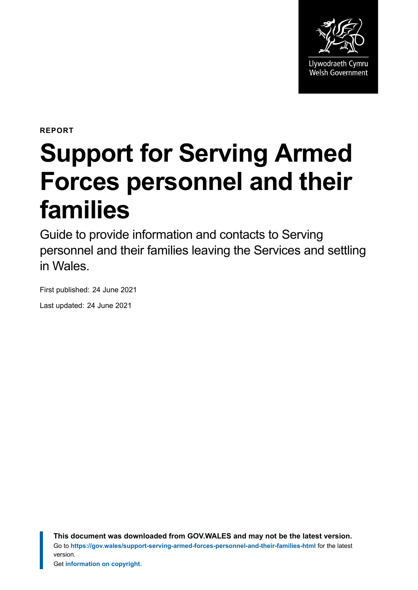

**REPORT**

# **Support for Serving Armed Forces personnel and their families**

Guide to provide information and contacts to Serving personnel and their families leaving the Services and settling in Wales.

First published: 24 June 2021 Last updated: 24 June 2021

> **This document was downloaded from GOV.WALES and may not be the latest version.** Go to **<https://gov.wales/support-serving-armed-forces-personnel-and-their-families-html>** for the latest version.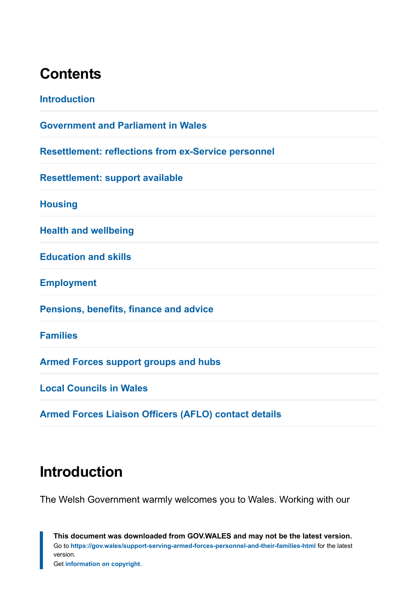### **Contents**

| <b>Introduction</b>                                         |
|-------------------------------------------------------------|
| <b>Government and Parliament in Wales</b>                   |
| <b>Resettlement: reflections from ex-Service personnel</b>  |
| <b>Resettlement: support available</b>                      |
| <b>Housing</b>                                              |
| <b>Health and wellbeing</b>                                 |
| <b>Education and skills</b>                                 |
| <b>Employment</b>                                           |
| <b>Pensions, benefits, finance and advice</b>               |
| <b>Families</b>                                             |
| <b>Armed Forces support groups and hubs</b>                 |
| <b>Local Councils in Wales</b>                              |
| <b>Armed Forces Liaison Officers (AFLO) contact details</b> |

# <span id="page-1-0"></span>**Introduction**

The Welsh Government warmly welcomes you to Wales. Working with our

**This document was downloaded from GOV.WALES and may not be the latest version.** Go to **<https://gov.wales/support-serving-armed-forces-personnel-and-their-families-html>** for the latest version. Get **[information on copyright](https://gov.wales/copyright-statement)**.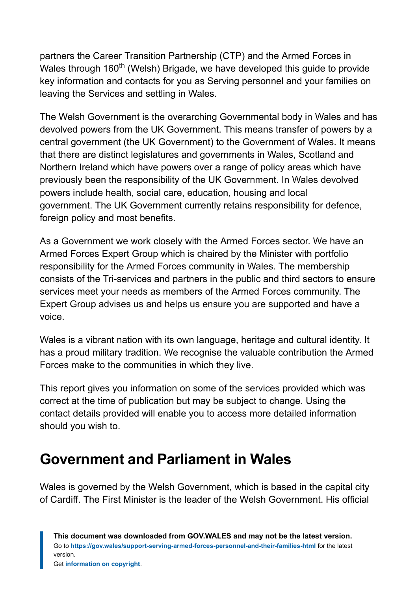partners the Career Transition Partnership (CTP) and the Armed Forces in Wales through 160<sup>th</sup> (Welsh) Brigade, we have developed this guide to provide key information and contacts for you as Serving personnel and your families on leaving the Services and settling in Wales.

The Welsh Government is the overarching Governmental body in Wales and has devolved powers from the UK Government. This means transfer of powers by a central government (the UK Government) to the Government of Wales. It means that there are distinct legislatures and governments in Wales, Scotland and Northern Ireland which have powers over a range of policy areas which have previously been the responsibility of the UK Government. In Wales devolved powers include health, social care, education, housing and local government. The UK Government currently retains responsibility for defence, foreign policy and most benefits.

As a Government we work closely with the Armed Forces sector. We have an Armed Forces Expert Group which is chaired by the Minister with portfolio responsibility for the Armed Forces community in Wales. The membership consists of the Tri-services and partners in the public and third sectors to ensure services meet your needs as members of the Armed Forces community. The Expert Group advises us and helps us ensure you are supported and have a voice.

Wales is a vibrant nation with its own language, heritage and cultural identity. It has a proud military tradition. We recognise the valuable contribution the Armed Forces make to the communities in which they live.

This report gives you information on some of the services provided which was correct at the time of publication but may be subject to change. Using the contact details provided will enable you to access more detailed information should you wish to.

# <span id="page-2-0"></span>**Government and Parliament in Wales**

Wales is governed by the Welsh Government, which is based in the capital city of Cardiff. The First Minister is the leader of the Welsh Government. His official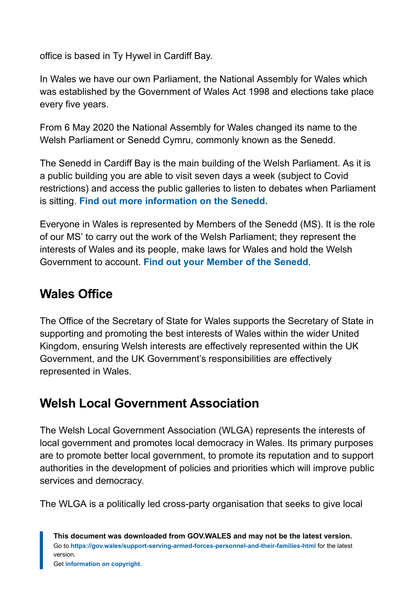office is based in Ty Hywel in Cardiff Bay.

In Wales we have our own Parliament, the National Assembly for Wales which was established by the Government of Wales Act 1998 and elections take place every five years.

From 6 May 2020 the National Assembly for Wales changed its name to the Welsh Parliament or Senedd Cymru, commonly known as the Senedd.

The Senedd in Cardiff Bay is the main building of the Welsh Parliament. As it is a public building you are able to visit seven days a week (subject to Covid restrictions) and access the public galleries to listen to debates when Parliament is sitting. **[Find out more information on the Senedd.](http://www.senedd.wales./)**

Everyone in Wales is represented by Members of the Senedd (MS). It is the role of our MS' to carry out the work of the Welsh Parliament; they represent the interests of Wales and its people, make laws for Wales and hold the Welsh Government to account. **[Find out your Member of the Senedd](http://www.senedd.assembly.wales/mgMemberIndex.aspx?bcr=1)**.

#### **Wales Office**

The Office of the Secretary of State for Wales supports the Secretary of State in supporting and promoting the best interests of Wales within the wider United Kingdom, ensuring Welsh interests are effectively represented within the UK Government, and the UK Government's responsibilities are effectively represented in Wales.

### **Welsh Local Government Association**

The Welsh Local Government Association (WLGA) represents the interests of local government and promotes local democracy in Wales. Its primary purposes are to promote better local government, to promote its reputation and to support authorities in the development of policies and priorities which will improve public services and democracy.

The WLGA is a politically led cross-party organisation that seeks to give local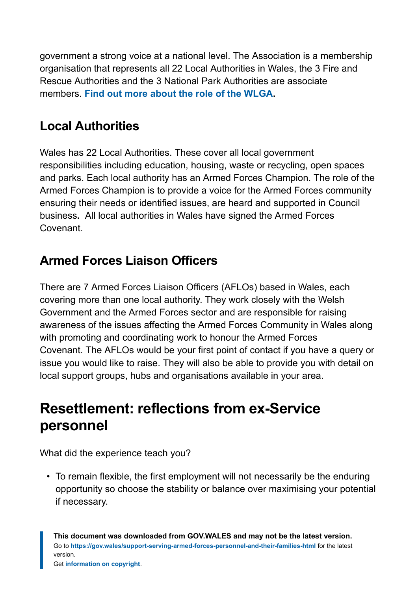government a strong voice at a national level. The Association is a membership organisation that represents all 22 Local Authorities in Wales, the 3 Fire and Rescue Authorities and the 3 National Park Authorities are associate members. **[Find out more about the role of the WLGA.](http://www.wlga.wales/)**

#### **Local Authorities**

Wales has 22 Local Authorities. These cover all local government responsibilities including education, housing, waste or recycling, open spaces and parks. Each local authority has an Armed Forces Champion. The role of the Armed Forces Champion is to provide a voice for the Armed Forces community ensuring their needs or identified issues, are heard and supported in Council business**.** All local authorities in Wales have signed the Armed Forces Covenant.

### **Armed Forces Liaison Officers**

There are 7 Armed Forces Liaison Officers (AFLOs) based in Wales, each covering more than one local authority. They work closely with the Welsh Government and the Armed Forces sector and are responsible for raising awareness of the issues affecting the Armed Forces Community in Wales along with promoting and coordinating work to honour the Armed Forces Covenant. The AFLOs would be your first point of contact if you have a query or issue you would like to raise. They will also be able to provide you with detail on local support groups, hubs and organisations available in your area.

# <span id="page-4-0"></span>**Resettlement: reflections from ex-Service personnel**

What did the experience teach you?

• To remain flexible, the first employment will not necessarily be the enduring opportunity so choose the stability or balance over maximising your potential if necessary.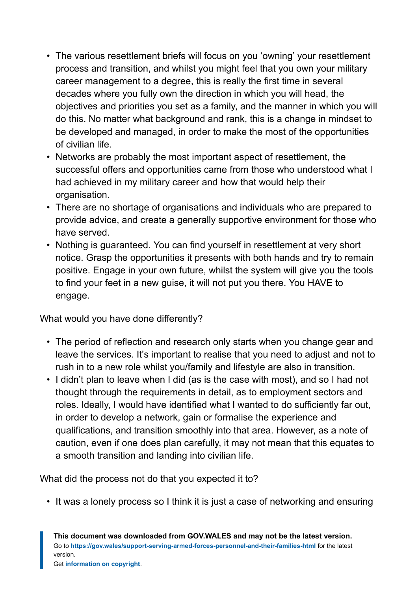- The various resettlement briefs will focus on you 'owning' your resettlement process and transition, and whilst you might feel that you own your military career management to a degree, this is really the first time in several decades where you fully own the direction in which you will head, the objectives and priorities you set as a family, and the manner in which you will do this. No matter what background and rank, this is a change in mindset to be developed and managed, in order to make the most of the opportunities of civilian life.
- Networks are probably the most important aspect of resettlement, the successful offers and opportunities came from those who understood what I had achieved in my military career and how that would help their organisation.
- There are no shortage of organisations and individuals who are prepared to provide advice, and create a generally supportive environment for those who have served.
- Nothing is guaranteed. You can find yourself in resettlement at very short notice. Grasp the opportunities it presents with both hands and try to remain positive. Engage in your own future, whilst the system will give you the tools to find your feet in a new guise, it will not put you there. You HAVE to engage.

What would you have done differently?

- The period of reflection and research only starts when you change gear and leave the services. It's important to realise that you need to adjust and not to rush in to a new role whilst you/family and lifestyle are also in transition.
- I didn't plan to leave when I did (as is the case with most), and so I had not thought through the requirements in detail, as to employment sectors and roles. Ideally, I would have identified what I wanted to do sufficiently far out, in order to develop a network, gain or formalise the experience and qualifications, and transition smoothly into that area. However, as a note of caution, even if one does plan carefully, it may not mean that this equates to a smooth transition and landing into civilian life.

What did the process not do that you expected it to?

• It was a lonely process so I think it is just a case of networking and ensuring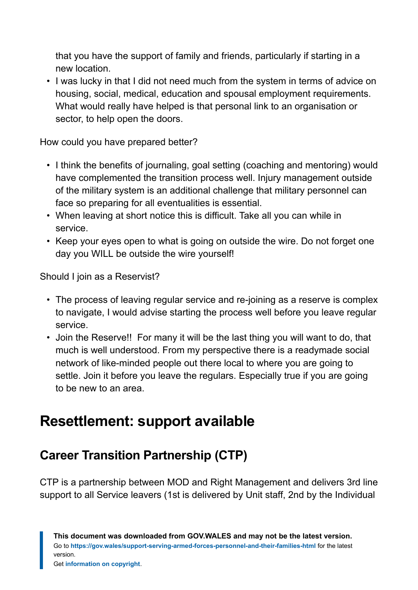that you have the support of family and friends, particularly if starting in a new location.

• I was lucky in that I did not need much from the system in terms of advice on housing, social, medical, education and spousal employment requirements. What would really have helped is that personal link to an organisation or sector, to help open the doors.

How could you have prepared better?

- I think the benefits of journaling, goal setting (coaching and mentoring) would have complemented the transition process well. Injury management outside of the military system is an additional challenge that military personnel can face so preparing for all eventualities is essential.
- When leaving at short notice this is difficult. Take all you can while in service.
- Keep your eyes open to what is going on outside the wire. Do not forget one day you WILL be outside the wire yourself!

Should I join as a Reservist?

- The process of leaving regular service and re-joining as a reserve is complex to navigate, I would advise starting the process well before you leave regular service.
- Join the Reserve!! For many it will be the last thing you will want to do, that much is well understood. From my perspective there is a readymade social network of like-minded people out there local to where you are going to settle. Join it before you leave the regulars. Especially true if you are going to be new to an area.

# <span id="page-6-0"></span>**Resettlement: support available**

### **Career Transition Partnership (CTP)**

CTP is a partnership between MOD and Right Management and delivers 3rd line support to all Service leavers (1st is delivered by Unit staff, 2nd by the Individual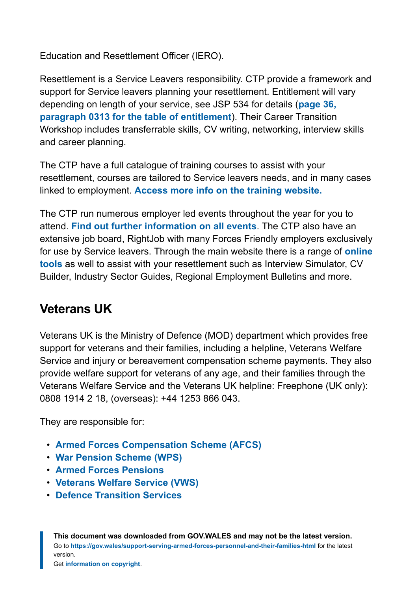Education and Resettlement Officer (IERO).

Resettlement is a Service Leavers responsibility. CTP provide a framework and support for Service leavers planning your resettlement. Entitlement will vary depending on length of your service, see JSP 534 for details (**[page 36,](https://assets.publishing.service.gov.uk/government/uploads/system/uploads/attachment_data/file/465794/20151001-JSP_534_Issue_14_TESRR_FINAL-O__3_.pdf) [paragraph 0313 for the table of entitlement](https://assets.publishing.service.gov.uk/government/uploads/system/uploads/attachment_data/file/465794/20151001-JSP_534_Issue_14_TESRR_FINAL-O__3_.pdf)**). Their Career Transition Workshop includes transferrable skills, CV writing, networking, interview skills and career planning.

The CTP have a full catalogue of training courses to assist with your resettlement, courses are tailored to Service leavers needs, and in many cases linked to employment. **[Access more info on the training website.](https://www.ctp.org.uk/resettlement-training)**

The CTP run numerous employer led events throughout the year for you to attend. **[Find out further information on all events](https://www.ctp.org.uk/events.)**. The CTP also have an extensive job board, RightJob with many Forces Friendly employers exclusively for use by Service leavers. Through the main website there is a range of **[online](http://www.ctp.org.uk/) [tools](http://www.ctp.org.uk/)** as well to assist with your resettlement such as Interview Simulator, CV Builder, Industry Sector Guides, Regional Employment Bulletins and more.

#### **Veterans UK**

Veterans UK is the Ministry of Defence (MOD) department which provides free support for veterans and their families, including a helpline, Veterans Welfare Service and injury or bereavement compensation scheme payments. They also provide welfare support for veterans of any age, and their families through the Veterans Welfare Service and the Veterans UK helpline: Freephone (UK only): 0808 1914 2 18, (overseas): +44 1253 866 043.

They are responsible for:

- **[Armed Forces Compensation Scheme \(AFCS\)](https://www.gov.uk/government/publications/armed-forces-compensation/armed-forces-compensation-what-you-need-to-know)**
- **[War Pension Scheme \(WPS\)](https://www.gov.uk/government/publications/war-pension-scheme/war-pension-scheme-what-you-need-to-know)**
- **[Armed Forces Pensions](https://www.gov.uk/government/publications/armed-forces-and-reserve-forces-pension-schemes-guidance-booklets)**
- **[Veterans Welfare Service \(VWS\)](https://www.gov.uk/guidance/veterans-welfare-service)**
- **[Defence Transition Services](https://www.gov.uk/guidance/help-and-support-for-service-leavers-and-their-families)**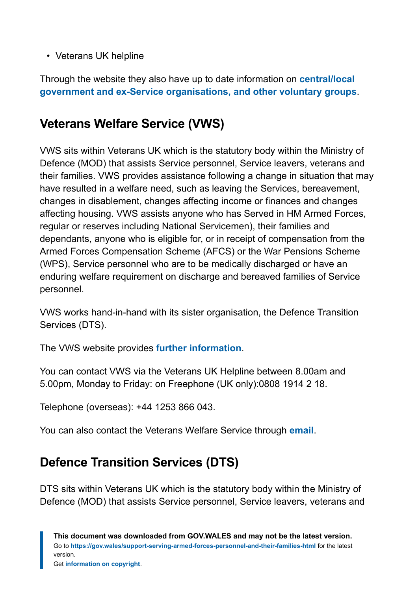• Veterans UK helpline

Through the website they also have up to date information on **[central/local](https://www.gov.uk/government/organisations/veterans-uk) [government and ex-Service organisations, and other voluntary groups](https://www.gov.uk/government/organisations/veterans-uk)**.

#### **Veterans Welfare Service (VWS)**

VWS sits within Veterans UK which is the statutory body within the Ministry of Defence (MOD) that assists Service personnel, Service leavers, veterans and their families. VWS provides assistance following a change in situation that may have resulted in a welfare need, such as leaving the Services, bereavement, changes in disablement, changes affecting income or finances and changes affecting housing. VWS assists anyone who has Served in HM Armed Forces, regular or reserves including National Servicemen), their families and dependants, anyone who is eligible for, or in receipt of compensation from the Armed Forces Compensation Scheme (AFCS) or the War Pensions Scheme (WPS), Service personnel who are to be medically discharged or have an enduring welfare requirement on discharge and bereaved families of Service personnel.

VWS works hand-in-hand with its sister organisation, the Defence Transition Services (DTS).

The VWS website provides **[further information](https://www.gov.uk/guidance/veterans-welfare-service)**.

You can contact VWS via the Veterans UK Helpline between 8.00am and 5.00pm, Monday to Friday: on Freephone (UK only):0808 1914 2 18.

Telephone (overseas): +44 1253 866 043.

You can also contact the Veterans Welfare Service through **[email](mailto:veterans-uk@mod.gov.uk)**.

### **Defence Transition Services (DTS)**

DTS sits within Veterans UK which is the statutory body within the Ministry of Defence (MOD) that assists Service personnel, Service leavers, veterans and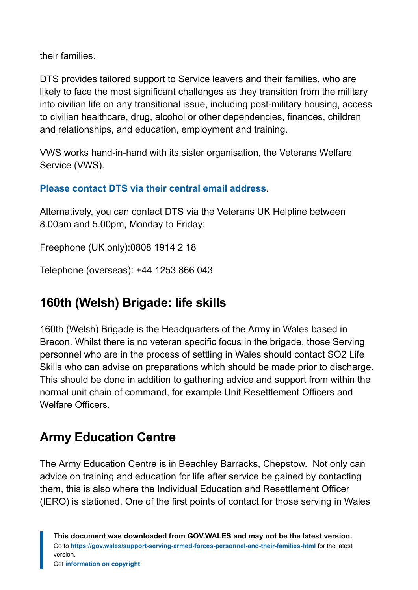their families.

DTS provides tailored support to Service leavers and their families, who are likely to face the most significant challenges as they transition from the military into civilian life on any transitional issue, including post-military housing, access to civilian healthcare, drug, alcohol or other dependencies, finances, children and relationships, and education, employment and training.

VWS works hand-in-hand with its sister organisation, the Veterans Welfare Service (VWS).

#### **[Please contact DTS via their central email address](mailto:DBSVets-DTS-Central@mod.gov.uk)**.

Alternatively, you can contact DTS via the Veterans UK Helpline between 8.00am and 5.00pm, Monday to Friday:

Freephone (UK only):0808 1914 2 18

Telephone (overseas): +44 1253 866 043

#### **160th (Welsh) Brigade: life skills**

160th (Welsh) Brigade is the Headquarters of the Army in Wales based in Brecon. Whilst there is no veteran specific focus in the brigade, those Serving personnel who are in the process of settling in Wales should contact SO2 Life Skills who can advise on preparations which should be made prior to discharge. This should be done in addition to gathering advice and support from within the normal unit chain of command, for example Unit Resettlement Officers and Welfare Officers.

#### **Army Education Centre**

The Army Education Centre is in Beachley Barracks, Chepstow. Not only can advice on training and education for life after service be gained by contacting them, this is also where the Individual Education and Resettlement Officer (IERO) is stationed. One of the first points of contact for those serving in Wales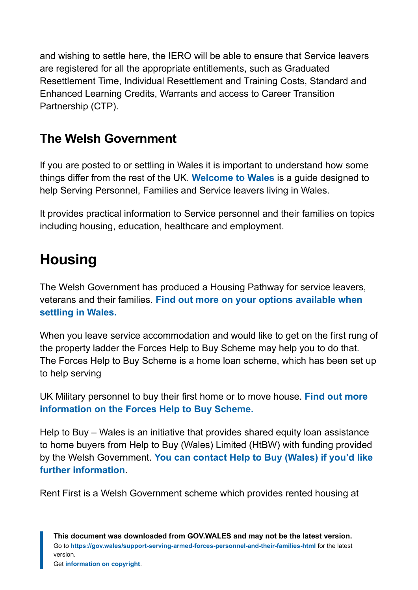and wishing to settle here, the IERO will be able to ensure that Service leavers are registered for all the appropriate entitlements, such as Graduated Resettlement Time, Individual Resettlement and Training Costs, Standard and Enhanced Learning Credits, Warrants and access to Career Transition Partnership (CTP).

#### **The Welsh Government**

If you are posted to or settling in Wales it is important to understand how some things differ from the rest of the UK. **[Welcome to Wales](https://gov.wales/support-serving-armed-forces-personnel-and-their-families)** is a guide designed to help Serving Personnel, Families and Service leavers living in Wales.

It provides practical information to Service personnel and their families on topics including housing, education, healthcare and employment.

# <span id="page-10-0"></span>**Housing**

The Welsh Government has produced a Housing Pathway for service leavers, veterans and their families. **[Find out more on your options available when](https://gov.wales/sites/default/files/publications/2019-03/national-housing-pathway-for-ex-service-personnel.pdf) [settling in Wales.](https://gov.wales/sites/default/files/publications/2019-03/national-housing-pathway-for-ex-service-personnel.pdf)**

When you leave service accommodation and would like to get on the first rung of the property ladder the Forces Help to Buy Scheme may help you to do that. The Forces Help to Buy Scheme is a home loan scheme, which has been set up to help serving

UK Military personnel to buy their first home or to move house. **[Find out more](http://www.forces-helptobuy.co.uk/) [information on the Forces Help to Buy Scheme.](http://www.forces-helptobuy.co.uk/)**

Help to Buy – Wales is an initiative that provides shared equity loan assistance to home buyers from Help to Buy (Wales) Limited (HtBW) with funding provided by the Welsh Government. **[You can contact Help to Buy \(Wales\) if you'd like](http://www.helptobuywales.co.uk/) [further information](http://www.helptobuywales.co.uk/)**.

Rent First is a Welsh Government scheme which provides rented housing at

**This document was downloaded from GOV.WALES and may not be the latest version.** Go to **<https://gov.wales/support-serving-armed-forces-personnel-and-their-families-html>** for the latest version.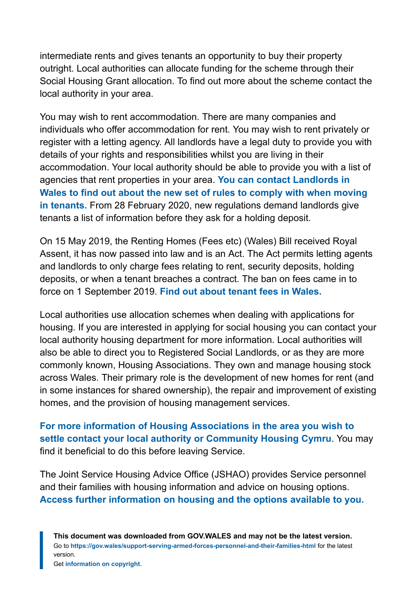intermediate rents and gives tenants an opportunity to buy their property outright. Local authorities can allocate funding for the scheme through their Social Housing Grant allocation. To find out more about the scheme contact the local authority in your area.

You may wish to rent accommodation. There are many companies and individuals who offer accommodation for rent. You may wish to rent privately or register with a letting agency. All landlords have a legal duty to provide you with details of your rights and responsibilities whilst you are living in their accommodation. Your local authority should be able to provide you with a list of agencies that rent properties in your area. **[You can contact Landlords in](http://www.landlordsguild.com/) [Wales to find out about the new set of rules to comply with when moving](http://www.landlordsguild.com/) [in tenants.](http://www.landlordsguild.com/)** From 28 February 2020, new regulations demand landlords give tenants a list of information before they ask for a holding deposit.

On 15 May 2019, the Renting Homes (Fees etc) (Wales) Bill received Royal Assent, it has now passed into law and is an Act. The Act permits letting agents and landlords to only charge fees relating to rent, security deposits, holding deposits, or when a tenant breaches a contract. The ban on fees came in to force on 1 September 2019. **[Find out about tenant fees in Wales.](http://www.arla.co.uk/tenant-fees-wales/)**

Local authorities use allocation schemes when dealing with applications for housing. If you are interested in applying for social housing you can contact your local authority housing department for more information. Local authorities will also be able to direct you to Registered Social Landlords, or as they are more commonly known, Housing Associations. They own and manage housing stock across Wales. Their primary role is the development of new homes for rent (and in some instances for shared ownership), the repair and improvement of existing homes, and the provision of housing management services.

**[For more information of Housing Associations in the area you wish to](https://chcymru.org.uk/en/get-involved/-map/) [settle contact](https://chcymru.org.uk/en/get-involved/-map/) [your local authority or Community Housing Cymru](https://chcymru.org.uk/en/get-involved/-map/)**. You may find it beneficial to do this before leaving Service.

The Joint Service Housing Advice Office (JSHAO) provides Service personnel and their families with housing information and advice on housing options. **[Access further information on housing and the options available to you.](http://www.gov.uk/government/collections/joint-service-housing-advice-office-jshao)**

**This document was downloaded from GOV.WALES and may not be the latest version.** Go to **<https://gov.wales/support-serving-armed-forces-personnel-and-their-families-html>** for the latest version.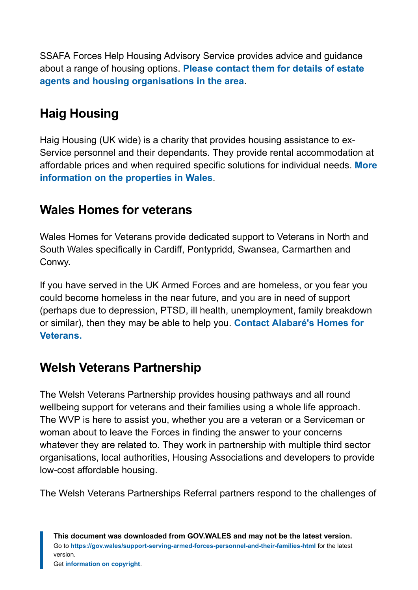SSAFA Forces Help Housing Advisory Service provides advice and guidance about a range of housing options. **[Please contact them for details of estate](http://www.ssafa.org.uk/) [agents and housing organisations in the area](http://www.ssafa.org.uk/)**.

### **Haig Housing**

Haig Housing (UK wide) is a charity that provides housing assistance to ex-Service personnel and their dependants. They provide rental accommodation at affordable prices and when required specific solutions for individual needs. **[More](https://www.haighousing.org.uk/) [information on the properties in Wales](https://www.haighousing.org.uk/)**.

#### **Wales Homes for veterans**

Wales Homes for Veterans provide dedicated support to Veterans in North and South Wales specifically in Cardiff, Pontypridd, Swansea, Carmarthen and Conwy.

If you have served in the UK Armed Forces and are homeless, or you fear you could become homeless in the near future, and you are in need of support (perhaps due to depression, PTSD, ill health, unemployment, family breakdown or similar), then they may be able to help you. **[Contact Alabaré's Homes for](mailto:veterans@alabare.co.uk) [Veterans.](mailto:veterans@alabare.co.uk)**

#### **Welsh Veterans Partnership**

The Welsh Veterans Partnership provides housing pathways and all round wellbeing support for veterans and their families using a whole life approach. The WVP is here to assist you, whether you are a veteran or a Serviceman or woman about to leave the Forces in finding the answer to your concerns whatever they are related to. They work in partnership with multiple third sector organisations, local authorities, Housing Associations and developers to provide low-cost affordable housing.

The Welsh Veterans Partnerships Referral partners respond to the challenges of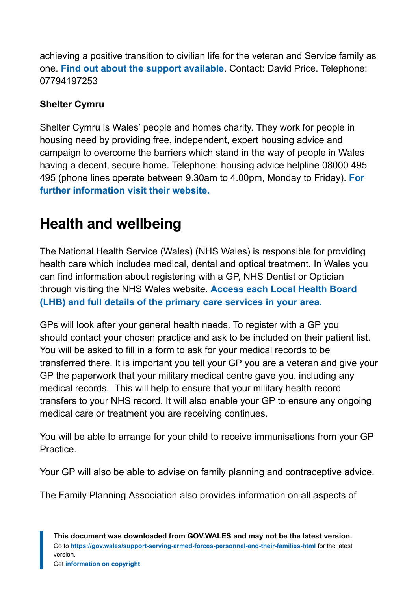achieving a positive transition to civilian life for the veteran and Service family as one. **[Find out about the support available](http://welshveteranspartnership.org/)**. Contact: David Price. Telephone: 07794197253

#### **Shelter Cymru**

Shelter Cymru is Wales' people and homes charity. They work for people in housing need by providing free, independent, expert housing advice and campaign to overcome the barriers which stand in the way of people in Wales having a decent, secure home. Telephone: housing advice helpline 08000 495 495 (phone lines operate between 9.30am to 4.00pm, Monday to Friday). **[For](https://sheltercymru.org.uk/) [further information visit their website.](https://sheltercymru.org.uk/)**

### <span id="page-13-0"></span>**Health and wellbeing**

The National Health Service (Wales) (NHS Wales) is responsible for providing health care which includes medical, dental and optical treatment. In Wales you can find information about registering with a GP, NHS Dentist or Optician through visiting the NHS Wales website. **[Access each Local Health Board](http://www.wales.nhs.uk./) [\(LHB\) and full details of the primary care services in your area.](http://www.wales.nhs.uk./)**

GPs will look after your general health needs. To register with a GP you should contact your chosen practice and ask to be included on their patient list. You will be asked to fill in a form to ask for your medical records to be transferred there. It is important you tell your GP you are a veteran and give your GP the paperwork that your military medical centre gave you, including any medical records. This will help to ensure that your military health record transfers to your NHS record. It will also enable your GP to ensure any ongoing medical care or treatment you are receiving continues.

You will be able to arrange for your child to receive immunisations from your GP Practice.

Your GP will also be able to advise on family planning and contraceptive advice.

The Family Planning Association also provides information on all aspects of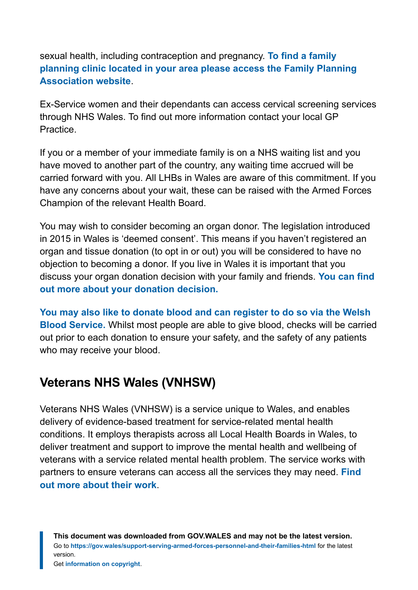sexual health, including contraception and pregnancy. **[To find a family](http://www.fpa.org.uk/) [planning clinic located in your area please access the Family Planning](http://www.fpa.org.uk/) [Association website](http://www.fpa.org.uk/)**.

Ex-Service women and their dependants can access cervical screening services through NHS Wales. To find out more information contact your local GP Practice.

If you or a member of your immediate family is on a NHS waiting list and you have moved to another part of the country, any waiting time accrued will be carried forward with you. All LHBs in Wales are aware of this commitment. If you have any concerns about your wait, these can be raised with the Armed Forces Champion of the relevant Health Board.

You may wish to consider becoming an organ donor. The legislation introduced in 2015 in Wales is 'deemed consent'. This means if you haven't registered an organ and tissue donation (to opt in or out) you will be considered to have no objection to becoming a donor. If you live in Wales it is important that you discuss your organ donation decision with your family and friends. **[You can find](http://www.organdonation.nhs.uk/uk-laws/organ-donation-law-in-wales/) [out more about your donation decision.](http://www.organdonation.nhs.uk/uk-laws/organ-donation-law-in-wales/)**

**[You may also like to donate blood and can register to do so via the Welsh](http://www.welsh-blood.org.uk/giving-blood/) [Blood Service.](http://www.welsh-blood.org.uk/giving-blood/)** Whilst most people are able to give blood, checks will be carried out prior to each donation to ensure your safety, and the safety of any patients who may receive your blood.

#### **Veterans NHS Wales (VNHSW)**

Veterans NHS Wales (VNHSW) is a service unique to Wales, and enables delivery of evidence-based treatment for service-related mental health conditions. It employs therapists across all Local Health Boards in Wales, to deliver treatment and support to improve the mental health and wellbeing of veterans with a service related mental health problem. The service works with partners to ensure veterans can access all the services they may need. **[Find](https://www.veteranswales.co.uk/) [out more about their work](https://www.veteranswales.co.uk/)**.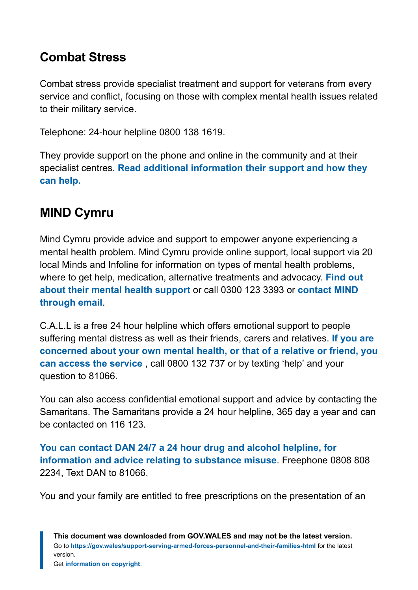#### **Combat Stress**

Combat stress provide specialist treatment and support for veterans from every service and conflict, focusing on those with complex mental health issues related to their military service.

Telephone: 24-hour helpline 0800 138 1619.

They provide support on the phone and online in the community and at their specialist centres. **[Read additional information their support and how they](https://www.combatstress.org.uk/) [can help.](https://www.combatstress.org.uk/)**

#### **MIND Cymru**

Mind Cymru provide advice and support to empower anyone experiencing a mental health problem. Mind Cymru provide online support, local support via 20 local Minds and Infoline for information on types of mental health problems, where to get help, medication, alternative treatments and advocacy. **[Find out](https://www.mind.org.uk/about-us/mind-cymru/) [about their mental health support](https://www.mind.org.uk/about-us/mind-cymru/)** or call 0300 123 3393 or **[contact MIND](mailto:info@mind.org.uk) [through email](mailto:info@mind.org.uk)**.

C.A.L.L is a free 24 hour helpline which offers emotional support to people suffering mental distress as well as their friends, carers and relatives. **[If you are](http://www.callhelpline.org.uk/) [concerned about your own mental health, or that of a relative or friend, you](http://www.callhelpline.org.uk/) [can access the service](http://www.callhelpline.org.uk/)** , call 0800 132 737 or by texting 'help' and your question to 81066.

You can also access confidential emotional support and advice by contacting the Samaritans. The Samaritans provide a 24 hour helpline, 365 day a year and can be contacted on 116 123.

**You can contact DAN 24/7 [a 24 hour drug and alcohol helpline, for](http://www.dan247.org.uk/) [information and advice relating to](http://www.dan247.org.uk/) substance misuse**. Freephone 0808 808 2234, Text DAN to 81066.

You and your family are entitled to free prescriptions on the presentation of an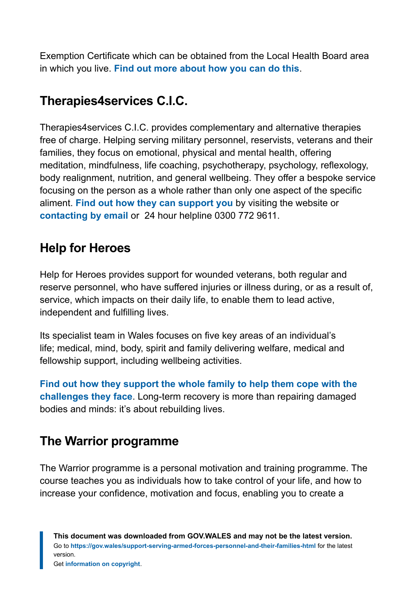Exemption Certificate which can be obtained from the Local Health Board area in which you live. **[Find out more about how you can do this](http://www.wales.nhs.uk/)**.

#### **Therapies4services C.I.C.**

Therapies4services C.I.C. provides complementary and alternative therapies free of charge. Helping serving military personnel, reservists, veterans and their families, they focus on emotional, physical and mental health, offering meditation, mindfulness, life coaching, psychotherapy, psychology, reflexology, body realignment, nutrition, and general wellbeing. They offer a bespoke service focusing on the person as a whole rather than only one aspect of the specific aliment. **[Find out how they can support you](http://www.therapies4services.org.uk/)** by visiting the website or **[contacting by email](mailto:Therapies4services@outlook.com)** or 24 hour helpline 0300 772 9611.

#### **Help for Heroes**

Help for Heroes provides support for wounded veterans, both regular and reserve personnel, who have suffered injuries or illness during, or as a result of, service, which impacts on their daily life, to enable them to lead active, independent and fulfilling lives.

Its specialist team in Wales focuses on five key areas of an individual's life; medical, mind, body, spirit and family delivering welfare, medical and fellowship support, including wellbeing activities.

**[Find out how they support the whole family to help them cope with the](http://www.helpforheroes.org.uk/) [challenges they face](http://www.helpforheroes.org.uk/)**. Long-term recovery is more than repairing damaged bodies and minds: it's about rebuilding lives.

#### **The Warrior programme**

The Warrior programme is a personal motivation and training programme. The course teaches you as individuals how to take control of your life, and how to increase your confidence, motivation and focus, enabling you to create a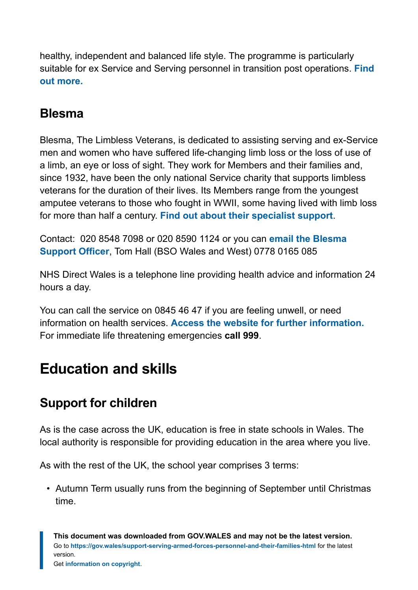healthy, independent and balanced life style. The programme is particularly suitable for ex Service and Serving personnel in transition post operations. **[Find](https://www.warriorprogramme.org.uk/%20%20or:%20enquiries@warriorprogramme.org.uk) [out more.](https://www.warriorprogramme.org.uk/%20%20or:%20enquiries@warriorprogramme.org.uk)**

#### **Blesma**

Blesma, The Limbless Veterans, is dedicated to assisting serving and ex-Service men and women who have suffered life-changing limb loss or the loss of use of a limb, an eye or loss of sight. They work for Members and their families and, since 1932, have been the only national Service charity that supports limbless veterans for the duration of their lives. Its Members range from the youngest amputee veterans to those who fought in WWII, some having lived with limb loss for more than half a century. **[Find out about their specialist support](http://www.blesma.org/)**.

Contact: 020 8548 7098 or 020 8590 1124 or you can **[email the Blesma](mailto:bsowest@blesma.org) [Support Officer](mailto:bsowest@blesma.org)**, Tom Hall (BSO Wales and West) 0778 0165 085

NHS Direct Wales is a telephone line providing health advice and information 24 hours a day.

You can call the service on 0845 46 47 if you are feeling unwell, or need information on health services. **[Access the website for further information.](http://www.nhsdirect.wales.nhs.uk/)** For immediate life threatening emergencies **call 999**.

# <span id="page-17-0"></span>**Education and skills**

### **Support for children**

As is the case across the UK, education is free in state schools in Wales. The local authority is responsible for providing education in the area where you live.

As with the rest of the UK, the school year comprises 3 terms:

• Autumn Term usually runs from the beginning of September until Christmas time.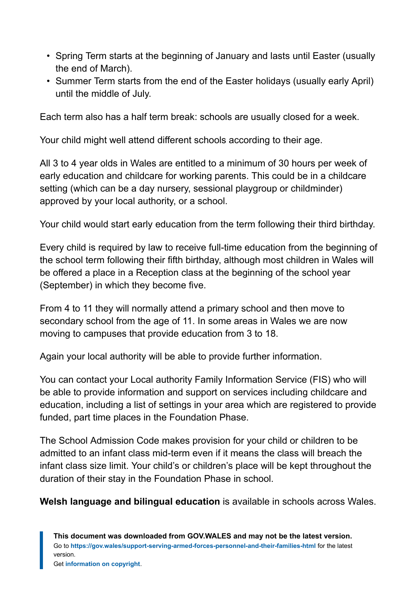- Spring Term starts at the beginning of January and lasts until Easter (usually the end of March).
- Summer Term starts from the end of the Easter holidays (usually early April) until the middle of July.

Each term also has a half term break: schools are usually closed for a week.

Your child might well attend different schools according to their age.

All 3 to 4 year olds in Wales are entitled to a minimum of 30 hours per week of early education and childcare for working parents. This could be in a childcare setting (which can be a day nursery, sessional playgroup or childminder) approved by your local authority, or a school.

Your child would start early education from the term following their third birthday.

Every child is required by law to receive full-time education from the beginning of the school term following their fifth birthday, although most children in Wales will be offered a place in a Reception class at the beginning of the school year (September) in which they become five.

From 4 to 11 they will normally attend a primary school and then move to secondary school from the age of 11. In some areas in Wales we are now moving to campuses that provide education from 3 to 18.

Again your local authority will be able to provide further information.

You can contact your Local authority Family Information Service (FIS) who will be able to provide information and support on services including childcare and education, including a list of settings in your area which are registered to provide funded, part time places in the Foundation Phase.

The School Admission Code makes provision for your child or children to be admitted to an infant class mid-term even if it means the class will breach the infant class size limit. Your child's or children's place will be kept throughout the duration of their stay in the Foundation Phase in school.

**Welsh language and bilingual education** is available in schools across Wales.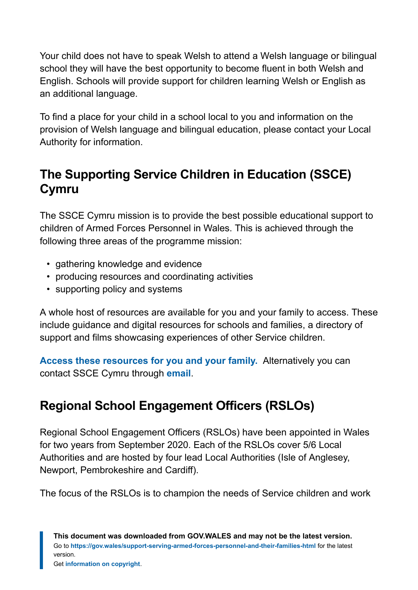Your child does not have to speak Welsh to attend a Welsh language or bilingual school they will have the best opportunity to become fluent in both Welsh and English. Schools will provide support for children learning Welsh or English as an additional language.

To find a place for your child in a school local to you and information on the provision of Welsh language and bilingual education, please contact your Local Authority for information.

### **The Supporting Service Children in Education (SSCE) Cymru**

The SSCE Cymru mission is to provide the best possible educational support to children of Armed Forces Personnel in Wales. This is achieved through the following three areas of the programme mission:

- gathering knowledge and evidence
- producing resources and coordinating activities
- supporting policy and systems

A whole host of resources are available for you and your family to access. These include guidance and digital resources for schools and families, a directory of support and films showcasing experiences of other Service children.

**[Access these resources for you and your family.](http://www.sscecymru.co.uk/)** Alternatively you can contact SSCE Cymru through **[email](mailto:SSCECymru@wlga.gov.uk)**.

### **Regional School Engagement Officers (RSLOs)**

Regional School Engagement Officers (RSLOs) have been appointed in Wales for two years from September 2020. Each of the RSLOs cover 5/6 Local Authorities and are hosted by four lead Local Authorities (Isle of Anglesey, Newport, Pembrokeshire and Cardiff).

The focus of the RSLOs is to champion the needs of Service children and work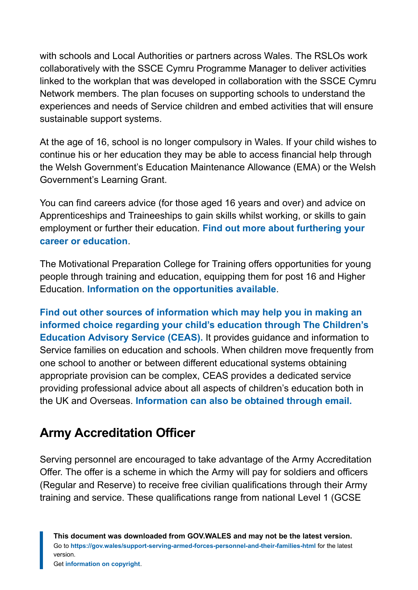with schools and Local Authorities or partners across Wales. The RSLOs work collaboratively with the SSCE Cymru Programme Manager to deliver activities linked to the workplan that was developed in collaboration with the SSCE Cymru Network members. The plan focuses on supporting schools to understand the experiences and needs of Service children and embed activities that will ensure sustainable support systems.

At the age of 16, school is no longer compulsory in Wales. If your child wishes to continue his or her education they may be able to access financial help through the Welsh Government's Education Maintenance Allowance (EMA) or the Welsh Government's Learning Grant.

You can find careers advice (for those aged 16 years and over) and advice on Apprenticeships and Traineeships to gain skills whilst working, or skills to gain employment or further their education. **[Find out more about furthering your](http://www.careerswales.com/) [career or education](http://www.careerswales.com/)**.

The Motivational Preparation College for Training offers opportunities for young people through training and education, equipping them for post 16 and Higher Education. **[Information on the opportunities available](http://www.mpct.co.uk/)**.

**[Find out other sources of information which may help you in making an](http://www.gov.uk/childrens-education-advisory-service) [informed choice regarding your child's education through](http://www.gov.uk/childrens-education-advisory-service) The Children's [Education Advisory Service \(CEAS\).](http://www.gov.uk/childrens-education-advisory-service)** It provides guidance and information to Service families on education and schools. When children move frequently from one school to another or between different educational systems obtaining appropriate provision can be complex, CEAS provides a dedicated service providing professional advice about all aspects of children's education both in the UK and Overseas. **[Information can also be obtained through email.](mailto:enquiries@ceas.uk.com)**

#### **Army Accreditation Officer**

Serving personnel are encouraged to take advantage of the Army Accreditation Offer. The offer is a scheme in which the Army will pay for soldiers and officers (Regular and Reserve) to receive free civilian qualifications through their Army training and service. These qualifications range from national Level 1 (GCSE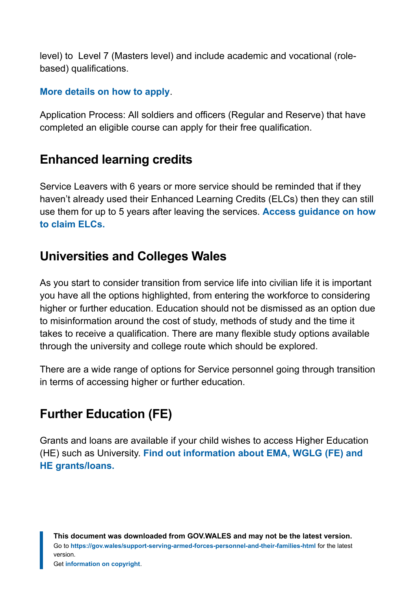level) to Level 7 (Masters level) and include academic and vocational (rolebased) qualifications.

#### **[More details on how to apply](https://www.army.mod.uk/personnel-and-welfare/career-enhancing-qualifications/)**.

Application Process: All soldiers and officers (Regular and Reserve) that have completed an eligible course can apply for their free qualification.

#### **Enhanced learning credits**

Service Leavers with 6 years or more service should be reminded that if they haven't already used their Enhanced Learning Credits (ELCs) then they can still use them for up to 5 years after leaving the services. **[Access guidance on how](http://www.enhancedlearningcredits.com/) [to claim ELCs.](http://www.enhancedlearningcredits.com/)**

#### **Universities and Colleges Wales**

As you start to consider transition from service life into civilian life it is important you have all the options highlighted, from entering the workforce to considering higher or further education. Education should not be dismissed as an option due to misinformation around the cost of study, methods of study and the time it takes to receive a qualification. There are many flexible study options available through the university and college route which should be explored.

There are a wide range of options for Service personnel going through transition in terms of accessing higher or further education.

### **Further Education (FE)**

Grants and loans are available if your child wishes to access Higher Education (HE) such as University. **[Find out information about EMA, WGLG \(FE\) and](http://www.studentfinancewales.co.uk/) [HE grants/loans.](http://www.studentfinancewales.co.uk/)**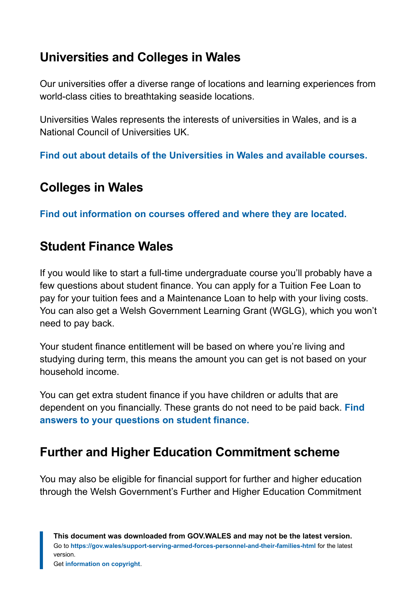#### **Universities and Colleges in Wales**

Our universities offer a diverse range of locations and learning experiences from world-class cities to breathtaking seaside locations.

Universities Wales represents the interests of universities in Wales, and is a National Council of Universities UK.

**[Find out about details of the Universities in Wales and available courses.](http://www.uniswales.ac.uk/universities/)**

#### **Colleges in Wales**

**[Find out information on courses offered and where they are located.](https://www.colleges.wales/?_locale=en)**

#### **Student Finance Wales**

If you would like to start a full-time undergraduate course you'll probably have a few questions about student finance. You can apply for a Tuition Fee Loan to pay for your tuition fees and a Maintenance Loan to help with your living costs. You can also get a Welsh Government Learning Grant (WGLG), which you won't need to pay back.

Your student finance entitlement will be based on where you're living and studying during term, this means the amount you can get is not based on your household income.

You can get extra student finance if you have children or adults that are dependent on you financially. These grants do not need to be paid back. **[Find](http://www.studentfinancewales.co.uk/) [answers to your questions on student finance.](http://www.studentfinancewales.co.uk/)**

#### **Further and Higher Education Commitment scheme**

You may also be eligible for financial support for further and higher education through the Welsh Government's Further and Higher Education Commitment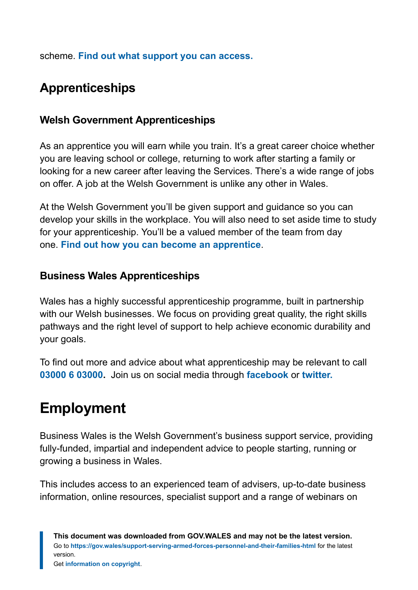scheme. **[Find out what support you can access.](https://gov.wales/funding-and-finance-for-students)**

### **Apprenticeships**

#### **Welsh Government Apprenticeships**

As an apprentice you will earn while you train. It's a great career choice whether you are leaving school or college, returning to work after starting a family or looking for a new career after leaving the Services. There's a wide range of jobs on offer. A job at the Welsh Government is unlike any other in Wales.

At the Welsh Government you'll be given support and guidance so you can develop your skills in the workplace. You will also need to set aside time to study for your apprenticeship. You'll be a valued member of the team from day one. **[Find out how you can become an apprentice](https://gov.wales/welsh-government-apprentices)**.

#### **Business Wales Apprenticeships**

Wales has a highly successful apprenticeship programme, built in partnership with our Welsh businesses. We focus on providing great quality, the right skills pathways and the right level of support to help achieve economic durability and your goals.

To find out more and advice about what apprenticeship may be relevant to call **[03000 6 03000.](tel:03000%206%2003000)** Join us on social media through **[facebook](https://gov.wales/pdf-optimised/node/%20apprenticeshipscymru)** or **[twitter.](https://gov.wales/pdf-optimised/node/%20apprenticewales)**

# <span id="page-23-0"></span>**Employment**

Business Wales is the Welsh Government's business support service, providing fully-funded, impartial and independent advice to people starting, running or growing a business in Wales.

This includes access to an experienced team of advisers, up-to-date business information, online resources, specialist support and a range of webinars on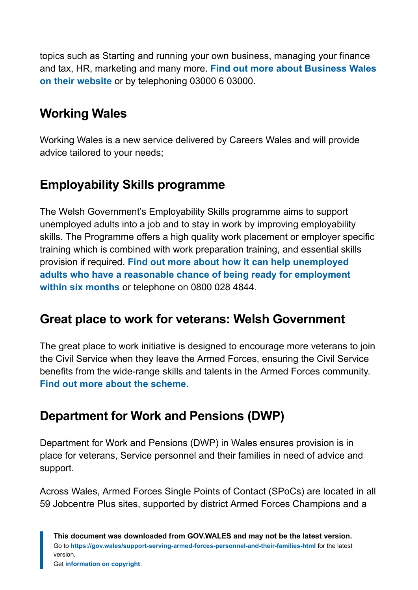topics such as Starting and running your own business, managing your finance and tax, HR, marketing and many more. **[Find out more about Business Wales](http://www.businesswales.gov.wales/) [on their website](http://www.businesswales.gov.wales/)** or by telephoning 03000 6 03000.

#### **Working Wales**

Working Wales is a new service delivered by Careers Wales and will provide advice tailored to your needs;

#### **Employability Skills programme**

The Welsh Government's Employability Skills programme aims to support unemployed adults into a job and to stay in work by improving employability skills. The Programme offers a high quality work placement or employer specific training which is combined with work preparation training, and essential skills provision if required. **[Find out more about how it can help unemployed](http://www.careerswales.com/en/skills-gateway/employability-skills-programme/) [adults who have a reasonable chance of being ready for employment](http://www.careerswales.com/en/skills-gateway/employability-skills-programme/) [within six months](http://www.careerswales.com/en/skills-gateway/employability-skills-programme/)** or telephone on 0800 028 4844.

#### **Great place to work for veterans: Welsh Government**

The great place to work initiative is designed to encourage more veterans to join the Civil Service when they leave the Armed Forces, ensuring the Civil Service benefits from the wide-range skills and talents in the Armed Forces community. **[Find out more about the scheme.](https://gov.wales/making-civil-service-great-place-work-veterans)**

### **Department for Work and Pensions (DWP)**

Department for Work and Pensions (DWP) in Wales ensures provision is in place for veterans, Service personnel and their families in need of advice and support.

Across Wales, Armed Forces Single Points of Contact (SPoCs) are located in all 59 Jobcentre Plus sites, supported by district Armed Forces Champions and a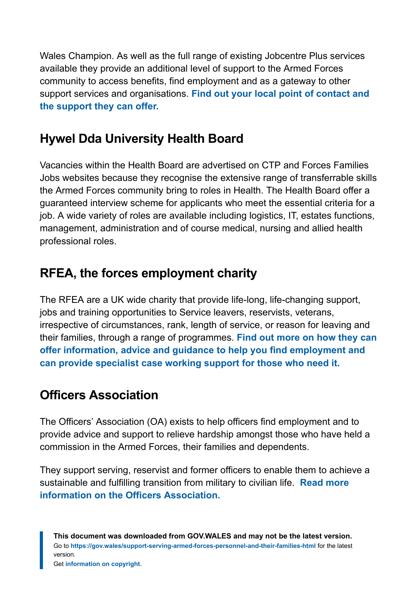Wales Champion. As well as the full range of existing Jobcentre Plus services available they provide an additional level of support to the Armed Forces community to access benefits, find employment and as a gateway to other support services and organisations. **[Find out your local point of contact and](https://jobcentreplusadvisor.co.uk/wales) [the support they can offer.](https://jobcentreplusadvisor.co.uk/wales)**

#### **Hywel Dda University Health Board**

Vacancies within the Health Board are advertised on CTP and Forces Families Jobs websites because they recognise the extensive range of transferrable skills the Armed Forces community bring to roles in Health. The Health Board offer a guaranteed interview scheme for applicants who meet the essential criteria for a job. A wide variety of roles are available including logistics, IT, estates functions, management, administration and of course medical, nursing and allied health professional roles.

#### **RFEA, the forces employment charity**

The RFEA are a UK wide charity that provide life-long, life-changing support, jobs and training opportunities to Service leavers, reservists, veterans, irrespective of circumstances, rank, length of service, or reason for leaving and their families, through a range of programmes. **[Find out more on how they can](https://www.rfea.org.uk/our-programmes-partnerships/) [offer information, advice and guidance to help you find employment and](https://www.rfea.org.uk/our-programmes-partnerships/) [can provide specialist case working support for those who need it.](https://www.rfea.org.uk/our-programmes-partnerships/)**

#### **Officers Association**

The Officers' Association (OA) exists to help officers find employment and to provide advice and support to relieve hardship amongst those who have held a commission in the Armed Forces, their families and dependents.

They support serving, reservist and former officers to enable them to achieve a sustainable and fulfilling transition from military to civilian life. **[Read more](https://www.officersassociation.org.uk/) [information on the Officers Association.](https://www.officersassociation.org.uk/)**

**This document was downloaded from GOV.WALES and may not be the latest version.** Go to **<https://gov.wales/support-serving-armed-forces-personnel-and-their-families-html>** for the latest version.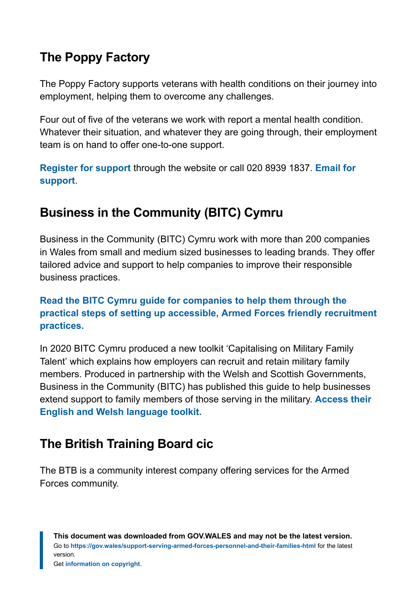### **The Poppy Factory**

The Poppy Factory supports veterans with health conditions on their journey into employment, helping them to overcome any challenges.

Four out of five of the veterans we work with report a mental health condition. Whatever their situation, and whatever they are going through, their employment team is on hand to offer one-to-one support.

**[Register for support](https://gov.wales/pdf-optimised/node/poppyfactory.org/employment)** through the website or call 020 8939 1837. **[Email for](mailto:Email%20support@poppyfactory.org) [support](mailto:Email%20support@poppyfactory.org)**.

### **Business in the Community (BITC) Cymru**

Business in the Community (BITC) Cymru work with more than 200 companies in Wales from small and medium sized businesses to leading brands. They offer tailored advice and support to help companies to improve their responsible business practices.

#### **[Read the BITC Cymru guide for companies to help them through the](https://www.bitc.org.uk/toolkit/capitalising-on-military-talent/) [practical steps of setting up accessible, Armed Forces friendly recruitment](https://www.bitc.org.uk/toolkit/capitalising-on-military-talent/) [practices.](https://www.bitc.org.uk/toolkit/capitalising-on-military-talent/)**

In 2020 BITC Cymru produced a new toolkit 'Capitalising on Military Family Talent' which explains how employers can recruit and retain military family members. Produced in partnership with the Welsh and Scottish Governments, Business in the Community (BITC) has published this guide to help businesses extend support to family members of those serving in the military. **[Access their](https://www.bitc.org.uk/toolkit/capitalising-on-military-family-talent/) [English and Welsh language toolkit.](https://www.bitc.org.uk/toolkit/capitalising-on-military-family-talent/)**

### **The British Training Board cic**

The BTB is a community interest company offering services for the Armed Forces community.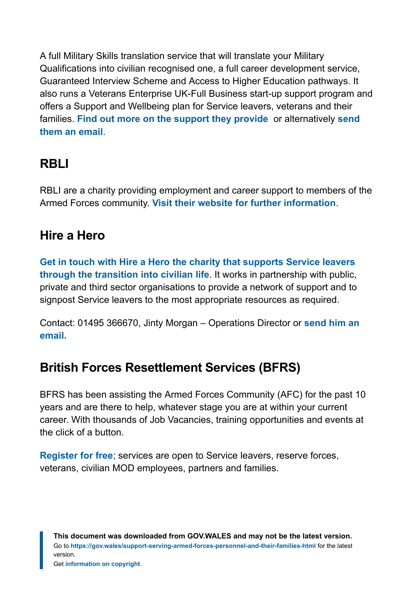A full Military Skills translation service that will translate your Military Qualifications into civilian recognised one, a full career development service, Guaranteed Interview Scheme and Access to Higher Education pathways. It also runs a Veterans Enterprise UK-Full Business start-up support program and offers a Support and Wellbeing plan for Service leavers, veterans and their families. **[Find out more on the support they provide](https://www.thebtb.co.uk/)** or alternatively **[send](mailto:info@britishtrainingboard.org.uk) [them an email](mailto:info@britishtrainingboard.org.uk)**.

#### **RBLI**

RBLI are a charity providing employment and career support to members of the Armed Forces community. **[Visit their website for further information](https://rbli.co.uk/)**.

#### **Hire a Hero**

**[Get in touch with Hire a Hero the charity that supports Service leavers](http://www.hireahero.org.uk/) [through the transition into civilian life](http://www.hireahero.org.uk/)**. It works in partnership with public, private and third sector organisations to provide a network of support and to signpost Service leavers to the most appropriate resources as required.

Contact: 01495 366670, Jinty Morgan – Operations Director or **[send him an](mailto:Info@hireahero.org.uk) [email.](mailto:Info@hireahero.org.uk)**

#### **British Forces Resettlement Services (BFRS)**

BFRS has been assisting the Armed Forces Community (AFC) for the past 10 years and are there to help, whatever stage you are at within your current career. With thousands of Job Vacancies, training opportunities and events at the click of a button.

**[Register for free](https://www.bfrss.org.uk/)**; services are open to Service leavers, reserve forces, veterans, civilian MOD employees, partners and families.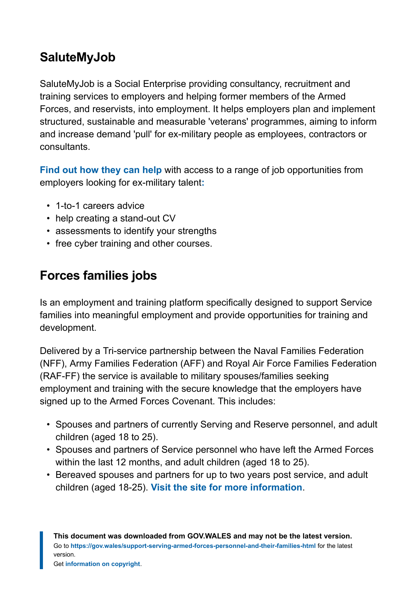#### **SaluteMyJob**

SaluteMyJob is a Social Enterprise providing consultancy, recruitment and training services to employers and helping former members of the Armed Forces, and reservists, into employment. It helps employers plan and implement structured, sustainable and measurable 'veterans' programmes, aiming to inform and increase demand 'pull' for ex-military people as employees, contractors or consultants.

**[Find out how they can help](https://www.salutemyjob.com/)** with access to a range of job opportunities from employers looking for ex-military talent**[:](https://www.salutemyjob.com/)**

- 1-to-1 careers advice
- help creating a stand-out CV
- assessments to identify your strengths
- free cyber training and other courses.

### **Forces families jobs**

Is an employment and training platform specifically designed to support Service families into meaningful employment and provide opportunities for training and development.

Delivered by a Tri-service partnership between the Naval Families Federation (NFF), Army Families Federation (AFF) and Royal Air Force Families Federation (RAF-FF) the service is available to military spouses/families seeking employment and training with the secure knowledge that the employers have signed up to the Armed Forces Covenant. This includes:

- Spouses and partners of currently Serving and Reserve personnel, and adult children (aged 18 to 25).
- Spouses and partners of Service personnel who have left the Armed Forces within the last 12 months, and adult children (aged 18 to 25).
- Bereaved spouses and partners for up to two years post service, and adult children (aged 18-25). **[Visit the site for more information](http://www.forcesfamiliesjobs.co.uk/)**.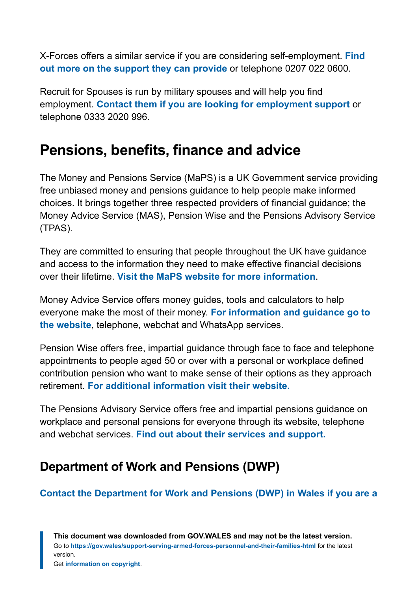X-Forces offers a similar service if you are considering self-employment. **[Find](http://www.x-forces.com/) [out more on the support they can provide](http://www.x-forces.com/)** or telephone 0207 022 0600.

Recruit for Spouses is run by military spouses and will help you find employment. **[Contact them if you are looking for employment support](http://www.recruitforspouses.co.uk/)** or telephone 0333 2020 996.

### <span id="page-29-0"></span>**Pensions, benefits, finance and advice**

The Money and Pensions Service (MaPS) is a UK Government service providing free unbiased money and pensions guidance to help people make informed choices. It brings together three respected providers of financial guidance; the Money Advice Service (MAS), Pension Wise and the Pensions Advisory Service (TPAS).

They are committed to ensuring that people throughout the UK have guidance and access to the information they need to make effective financial decisions over their lifetime. **[Visit the MaPS website for more information](https://moneyandpensionsservice.org.uk/)**.

Money Advice Service offers money guides, tools and calculators to help everyone make the most of their money. **[For information and guidance go to](http://www.moneyadviceservice.org.uk/) [the website](http://www.moneyadviceservice.org.uk/)**, telephone, webchat and WhatsApp services.

Pension Wise offers free, impartial guidance through face to face and telephone appointments to people aged 50 or over with a personal or workplace defined contribution pension who want to make sense of their options as they approach retirement. **[For additional information visit their website.](http://www.pensionwise.gov.uk/)**

The Pensions Advisory Service offers free and impartial pensions guidance on workplace and personal pensions for everyone through its website, telephone and webchat services. **[Find out about their services and support.](http://www.pensionsadvisoryservice.org.uk/)**

#### **Department of Work and Pensions (DWP)**

#### **[Contact the Department for Work and](https://jobcentreplusoffices.co.uk/wales) Pensions (DWP) in Wales if you are a**

**This document was downloaded from GOV.WALES and may not be the latest version.** Go to **<https://gov.wales/support-serving-armed-forces-personnel-and-their-families-html>** for the latest version.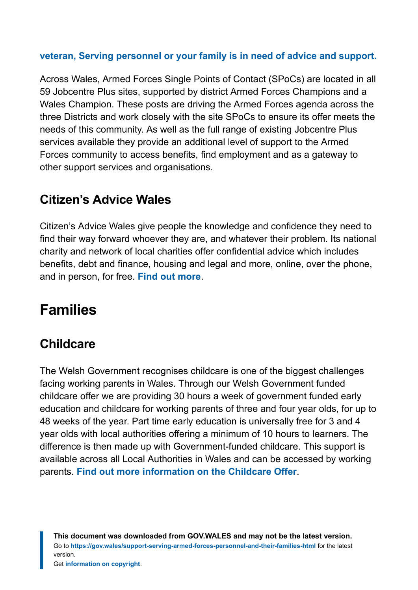#### **[veteran, Serving personnel or your family is in need of advice and support.](https://jobcentreplusoffices.co.uk/wales)**

Across Wales, Armed Forces Single Points of Contact (SPoCs) are located in all 59 Jobcentre Plus sites, supported by district Armed Forces Champions and a Wales Champion. These posts are driving the Armed Forces agenda across the three Districts and work closely with the site SPoCs to ensure its offer meets the needs of this community. As well as the full range of existing Jobcentre Plus services available they provide an additional level of support to the Armed Forces community to access benefits, find employment and as a gateway to other support services and organisations.

#### **Citizen's Advice Wales**

Citizen's Advice Wales give people the knowledge and confidence they need to find their way forward whoever they are, and whatever their problem. Its national charity and network of local charities offer confidential advice which includes benefits, debt and finance, housing and legal and more, online, over the phone, and in person, for free. **[Find out more](https://www.citizensadvice.org.uk/wales/)**.

# <span id="page-30-0"></span>**Families**

#### **Childcare**

The Welsh Government recognises childcare is one of the biggest challenges facing working parents in Wales. Through our Welsh Government funded childcare offer we are providing 30 hours a week of government funded early education and childcare for working parents of three and four year olds, for up to 48 weeks of the year. Part time early education is universally free for 3 and 4 year olds with local authorities offering a minimum of 10 hours to learners. The difference is then made up with Government-funded childcare. This support is available across all Local Authorities in Wales and can be accessed by working parents. **[Find out more information on the Childcare Offer](https://gov.wales/childcare-offer-for-wales-campaign)**.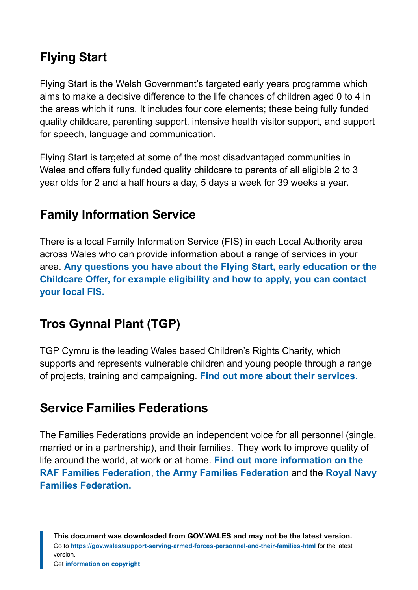### **Flying Start**

Flying Start is the Welsh Government's targeted early years programme which aims to make a decisive difference to the life chances of children aged 0 to 4 in the areas which it runs. It includes four core elements; these being fully funded quality childcare, parenting support, intensive health visitor support, and support for speech, language and communication.

Flying Start is targeted at some of the most disadvantaged communities in Wales and offers fully funded quality childcare to parents of all eligible 2 to 3 year olds for 2 and a half hours a day, 5 days a week for 39 weeks a year.

#### **Family Information Service**

There is a local Family Information Service (FIS) in each Local Authority area across Wales who can provide information about a range of services in your area. **[Any questions you have about the Flying Start, early education or the](https://gov.wales/find-your-local-family-information-service) [Childcare Offer, for example eligibility and how to apply, you can contact](https://gov.wales/find-your-local-family-information-service) [your local FIS.](https://gov.wales/find-your-local-family-information-service)**

#### **Tros Gynnal Plant (TGP)**

TGP Cymru is the leading Wales based Children's Rights Charity, which supports and represents vulnerable children and young people through a range of projects, training and campaigning. **[Find out more about their services.](https://www.tgpcymru.org.uk/)**

#### **Service Families Federations**

The Families Federations provide an independent voice for all personnel (single, married or in a partnership), and their families. They work to improve quality of life around the world, at work or at home. **[Find out more information on the](http://www.raf-ff.org.uk/) [RAF Families Federation](http://www.raf-ff.org.uk/)**, **[the Army Families Federation](http://www.aff.org.uk/)** and the **[Royal Navy](https://nff.org.uk/) [Families Federation.](https://nff.org.uk/)**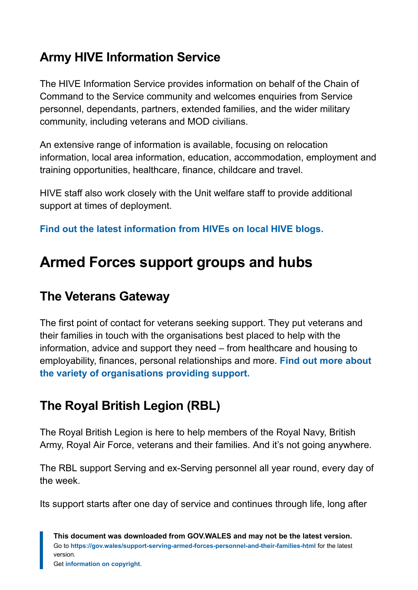### **Army HIVE Information Service**

The HIVE Information Service provides information on behalf of the Chain of Command to the Service community and welcomes enquiries from Service personnel, dependants, partners, extended families, and the wider military community, including veterans and MOD civilians.

An extensive range of information is available, focusing on relocation information, local area information, education, accommodation, employment and training opportunities, healthcare, finance, childcare and travel.

HIVE staff also work closely with the Unit welfare staff to provide additional support at times of deployment.

**[Find out the latest information from HIVEs on local HIVE blogs.](http://www.army.mod.uk/people/support-well/hive/)**

# <span id="page-32-0"></span>**Armed Forces support groups and hubs**

#### **The Veterans Gateway**

The first point of contact for veterans seeking support. They put veterans and their families in touch with the organisations best placed to help with the information, advice and support they need – from healthcare and housing to employability, finances, personal relationships and more. **[Find out more about](https://www.veteransgateway.org.uk/) [the variety of organisations providing support.](https://www.veteransgateway.org.uk/)**

### **The Royal British Legion (RBL)**

The Royal British Legion is here to help members of the Royal Navy, British Army, Royal Air Force, veterans and their families. And it's not going anywhere.

The RBL support Serving and ex-Serving personnel all year round, every day of the week.

Its support starts after one day of service and continues through life, long after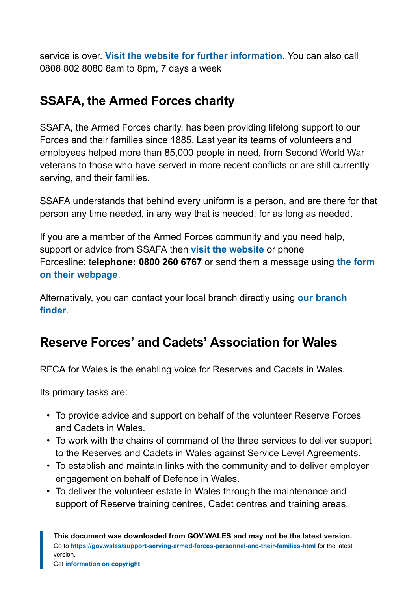service is over. **[Visit the website for further information](https://www.britishlegion.org.uk/)**. You can also call 0808 802 8080 8am to 8pm, 7 days a week

#### **SSAFA, the Armed Forces charity**

SSAFA, the Armed Forces charity, has been providing lifelong support to our Forces and their families since 1885. Last year its teams of volunteers and employees helped more than 85,000 people in need, from Second World War veterans to those who have served in more recent conflicts or are still currently serving, and their families.

SSAFA understands that behind every uniform is a person, and are there for that person any time needed, in any way that is needed, for as long as needed.

If you are a member of the Armed Forces community and you need help, support or advice from SSAFA then **[visit the website](http://www.ssafa.org.uk/)** or phone Forcesline: t**elephone: 0800 260 6767** or send them a message using **[the form](https://www.ssafa.org.uk/get-help/forcesline/) [on their webpage](https://www.ssafa.org.uk/get-help/forcesline/)**.

Alternatively, you can contact your local branch directly using **[our branch](https://www.ssafa.org.uk/get-help/find-local-branch/) [finder](https://www.ssafa.org.uk/get-help/find-local-branch/)**.

#### **Reserve Forces' and Cadets' Association for Wales**

RFCA for Wales is the enabling voice for Reserves and Cadets in Wales.

Its primary tasks are:

- To provide advice and support on behalf of the volunteer Reserve Forces and Cadets in Wales.
- To work with the chains of command of the three services to deliver support to the Reserves and Cadets in Wales against Service Level Agreements.
- To establish and maintain links with the community and to deliver employer engagement on behalf of Defence in Wales.
- To deliver the volunteer estate in Wales through the maintenance and support of Reserve training centres, Cadet centres and training areas.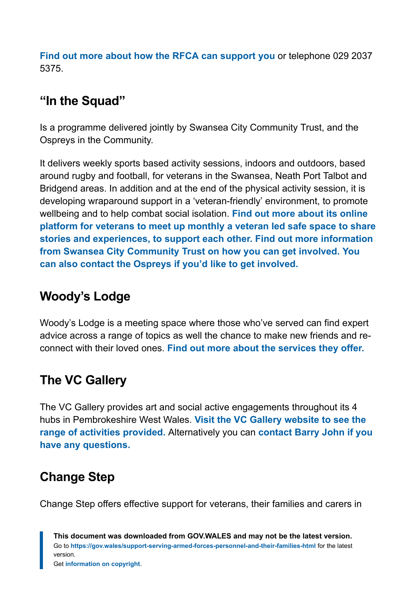**[Find out more about how the RFCA can support you](https://www.wales-rfca.org/)** or telephone 029 2037 5375.

#### **"In the Squad"**

Is a programme delivered jointly by Swansea City Community Trust, and the Ospreys in the Community.

It delivers weekly sports based activity sessions, indoors and outdoors, based around rugby and football, for veterans in the Swansea, Neath Port Talbot and Bridgend areas. In addition and at the end of the physical activity session, it is developing wraparound support in a 'veteran-friendly' environment, to promote wellbeing and to help combat social isolation. **[Find out more about its online](https://www.ospreysrugby.com/community) [platform for veterans to meet up monthly a veteran led safe space to share](https://www.ospreysrugby.com/community) [stories and experiences, to support each other.](https://www.ospreysrugby.com/community) [Find out more information](mailto:caroline@scfccommunitytrust.co.uk) [from Swansea City Community Trust on how you can get involved.](mailto:caroline@scfccommunitytrust.co.uk) [You](mailto:tom.sloane@ospreysrugby.com) [can also contact the Ospreys if you'd like to get involved.](mailto:tom.sloane@ospreysrugby.com)**

### **Woody's Lodge**

Woody's Lodge is a meeting space where those who've served can find expert advice across a range of topics as well the chance to make new friends and reconnect with their loved ones. **[Find out more about the services they offer.](https://www.woodyslodge.org/)**

### **The VC Gallery**

The VC Gallery provides art and social active engagements throughout its 4 hubs in Pembrokeshire West Wales. **[Visit the VC Gallery website to see the](https://www.thevcgallery.com/) [range of activities provided.](https://www.thevcgallery.com/)** Alternatively you can **[contact Barry John if you](mailto:barry@thevcgallery.com) [have any questions.](mailto:barry@thevcgallery.com)**

# **Change Step**

Change Step offers effective support for veterans, their families and carers in

**This document was downloaded from GOV.WALES and may not be the latest version.** Go to **<https://gov.wales/support-serving-armed-forces-personnel-and-their-families-html>** for the latest version.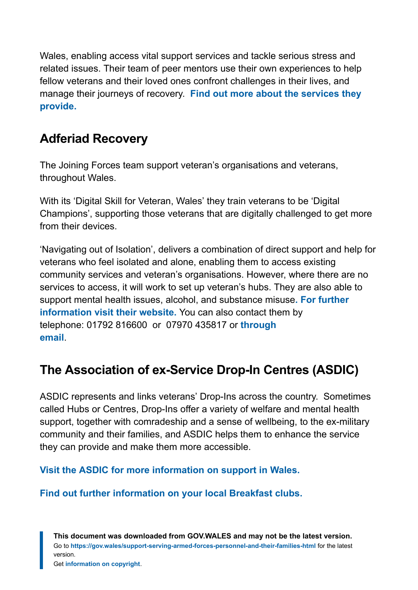Wales, enabling access vital support services and tackle serious stress and related issues. Their team of peer mentors use their own experiences to help fellow veterans and their loved ones confront challenges in their lives, and manage their journeys of recovery. **[Find out more about the services they](http://www.changestepwales.co.uk/) [provide.](http://www.changestepwales.co.uk/)**

#### **Adferiad Recovery**

The Joining Forces team support veteran's organisations and veterans, throughout Wales.

With its 'Digital Skill for Veteran, Wales' they train veterans to be 'Digital Champions', supporting those veterans that are digitally challenged to get more from their devices.

'Navigating out of Isolation', delivers a combination of direct support and help for veterans who feel isolated and alone, enabling them to access existing community services and veteran's organisations. However, where there are no services to access, it will work to set up veteran's hubs. They are also able to support mental health issues, alcohol, and substance misuse**[. For further](http://www.adferiad.org.uk/) [information visit their website.](http://www.adferiad.org.uk/)** You can also contact them by telephone: 01792 816600 or 07970 435817 or **[through](mailto:joiningforces@hafal.org) [email](mailto:joiningforces@hafal.org)**.

### **The Association of ex-Service Drop-In Centres (ASDIC)**

ASDIC represents and links veterans' Drop-Ins across the country. Sometimes called Hubs or Centres, Drop-Ins offer a variety of welfare and mental health support, together with comradeship and a sense of wellbeing, to the ex-military community and their families, and ASDIC helps them to enhance the service they can provide and make them more accessible.

**[Visit the ASDIC for more information on support in Wales.](https://www.asdic.org.uk/)**

**[Find out further information on your local Breakfast clubs.](https://www.afvbc.net/)**

**This document was downloaded from GOV.WALES and may not be the latest version.** Go to **<https://gov.wales/support-serving-armed-forces-personnel-and-their-families-html>** for the latest version.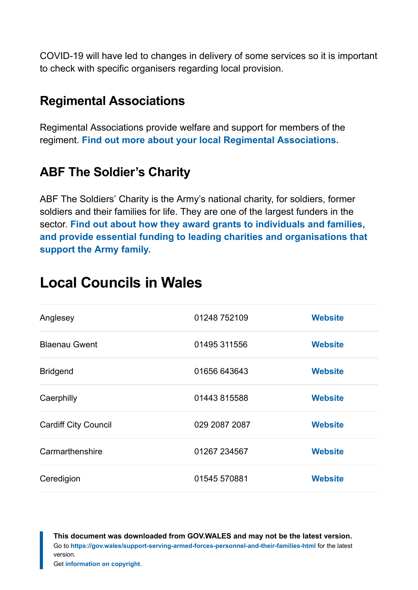COVID-19 will have led to changes in delivery of some services so it is important to check with specific organisers regarding local provision.

#### **Regimental Associations**

Regimental Associations provide welfare and support for members of the regiment. **[Find out more about your local Regimental Associations.](https://www.cobseo.org.uk/members/regimental-associations/)**

### **ABF The Soldier's Charity**

ABF The Soldiers' Charity is the Army's national charity, for soldiers, former soldiers and their families for life. They are one of the largest funders in the sector. **[Find out about how they award grants to individuals and families,](https://www.soldierscharity.org/) [and provide essential funding to leading charities and organisations that](https://www.soldierscharity.org/) [support the Army family.](https://www.soldierscharity.org/)**

| Anglesey                    | 01248 752109  | <b>Website</b> |
|-----------------------------|---------------|----------------|
| <b>Blaenau Gwent</b>        | 01495 311556  | <b>Website</b> |
| <b>Bridgend</b>             | 01656 643643  | <b>Website</b> |
| Caerphilly                  | 01443 815588  | <b>Website</b> |
| <b>Cardiff City Council</b> | 029 2087 2087 | <b>Website</b> |
| Carmarthenshire             | 01267 234567  | <b>Website</b> |
| Ceredigion                  | 01545 570881  | <b>Website</b> |

# <span id="page-36-0"></span>**Local Councils in Wales**

**This document was downloaded from GOV.WALES and may not be the latest version.** Go to **<https://gov.wales/support-serving-armed-forces-personnel-and-their-families-html>** for the latest version.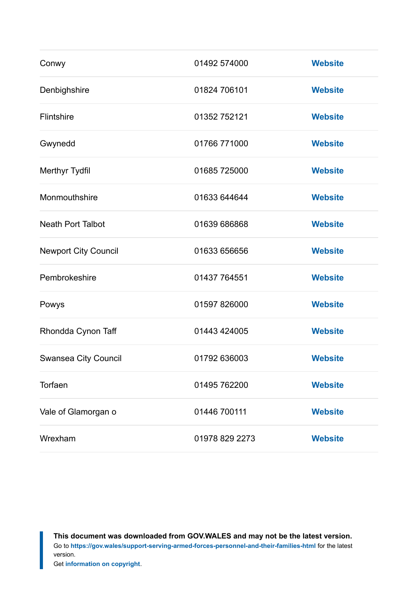| Conwy                       | 01492 574000   | <b>Website</b> |
|-----------------------------|----------------|----------------|
| Denbighshire                | 01824 706101   | <b>Website</b> |
| Flintshire                  | 01352 752121   | <b>Website</b> |
| Gwynedd                     | 01766 771000   | <b>Website</b> |
| Merthyr Tydfil              | 01685 725000   | <b>Website</b> |
| Monmouthshire               | 01633 644644   | <b>Website</b> |
| <b>Neath Port Talbot</b>    | 01639 686868   | <b>Website</b> |
| <b>Newport City Council</b> | 01633 656656   | <b>Website</b> |
| Pembrokeshire               | 01437 764551   | <b>Website</b> |
| Powys                       | 01597 826000   | <b>Website</b> |
| Rhondda Cynon Taff          | 01443 424005   | <b>Website</b> |
| Swansea City Council        | 01792 636003   | <b>Website</b> |
| Torfaen                     | 01495 762200   | <b>Website</b> |
| Vale of Glamorgan o         | 01446 700111   | <b>Website</b> |
| Wrexham                     | 01978 829 2273 | <b>Website</b> |

**This document was downloaded from GOV.WALES and may not be the latest version.** Go to **<https://gov.wales/support-serving-armed-forces-personnel-and-their-families-html>** for the latest version.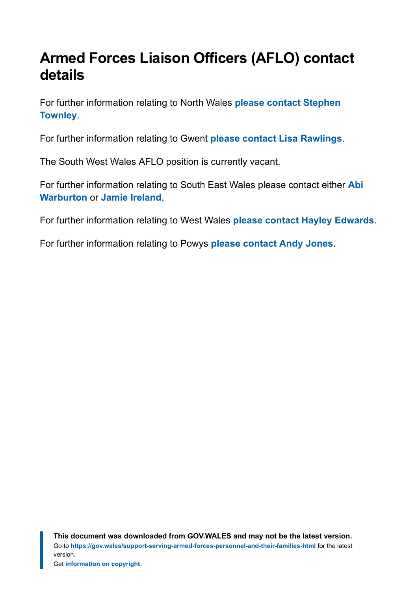# <span id="page-38-0"></span>**Armed Forces Liaison Officers (AFLO) contact details**

For further information relating to North Wales **[please contact Stephen](mailto:stephen.townley@wrexham.gov.uk) [Townley](mailto:stephen.townley@wrexham.gov.uk)**.

For further information relating to Gwent **[please contact Lisa Rawlings](mailto:rawlil@caerphilly.gov.uk)**.

The South West Wales AFLO position is currently vacant.

For further information relating to South East Wales please contact either **[Abi](mailto:awarburton@valeofglamorgan.gov.uk) [Warburton](mailto:awarburton@valeofglamorgan.gov.uk)** or **[Jamie Ireland](mailto:jamie.l.ireland@rctbc.gov.uk)**.

For further information relating to West Wales **[please contact Hayley Edwards](mailto:hredwards@carmarthenshire.gov.uk)**.

For further information relating to Powys **[please contact Andy Jones](mailto:andy.jones@powys.gov.uk)**.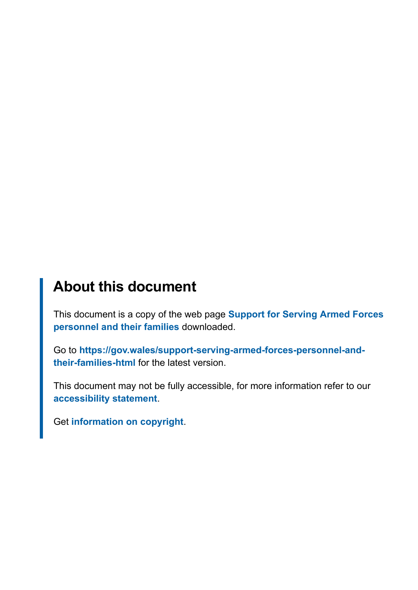# **About this document**

This document is a copy of the web page **[Support for Serving Armed Forces](https://gov.wales/support-serving-armed-forces-personnel-and-their-families-html) [personnel and their families](https://gov.wales/support-serving-armed-forces-personnel-and-their-families-html)** downloaded.

Go to **[https://gov.wales/support-serving-armed-forces-personnel-and](https://gov.wales/support-serving-armed-forces-personnel-and-their-families-html)[their-families-html](https://gov.wales/support-serving-armed-forces-personnel-and-their-families-html)** for the latest version.

This document may not be fully accessible, for more information refer to our **[accessibility statement](https://gov.wales/accessibility-statement-govwales)**.